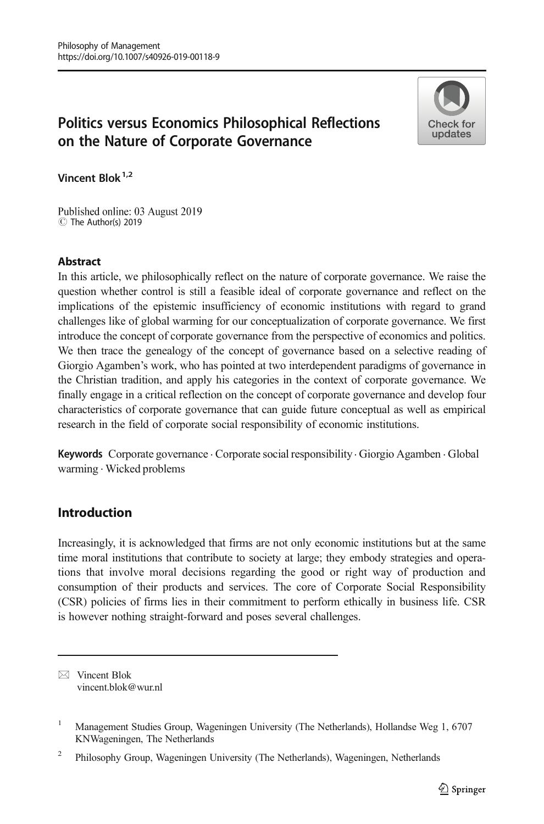# Politics versus Economics Philosophical Reflections on the Nature of Corporate Governance



Vincent Blok <sup>1,2</sup>

Published online: 03 August 2019 C The Author(s) 2019

#### Abstract

In this article, we philosophically reflect on the nature of corporate governance. We raise the question whether control is still a feasible ideal of corporate governance and reflect on the implications of the epistemic insufficiency of economic institutions with regard to grand challenges like of global warming for our conceptualization of corporate governance. We first introduce the concept of corporate governance from the perspective of economics and politics. We then trace the genealogy of the concept of governance based on a selective reading of Giorgio Agamben's work, who has pointed at two interdependent paradigms of governance in the Christian tradition, and apply his categories in the context of corporate governance. We finally engage in a critical reflection on the concept of corporate governance and develop four characteristics of corporate governance that can guide future conceptual as well as empirical research in the field of corporate social responsibility of economic institutions.

Keywords Corporate governance . Corporate social responsibility. Giorgio Agamben . Global warming . Wicked problems

# Introduction

Increasingly, it is acknowledged that firms are not only economic institutions but at the same time moral institutions that contribute to society at large; they embody strategies and operations that involve moral decisions regarding the good or right way of production and consumption of their products and services. The core of Corporate Social Responsibility (CSR) policies of firms lies in their commitment to perform ethically in business life. CSR is however nothing straight-forward and poses several challenges.

 $\boxtimes$  Vincent Blok [vincent.blok@wur.nl](mailto:vincent.blok@wur.nl)

<sup>&</sup>lt;sup>1</sup> Management Studies Group, Wageningen University (The Netherlands), Hollandse Weg 1, 6707 KNWageningen, The Netherlands

<sup>&</sup>lt;sup>2</sup> Philosophy Group, Wageningen University (The Netherlands), Wageningen, Netherlands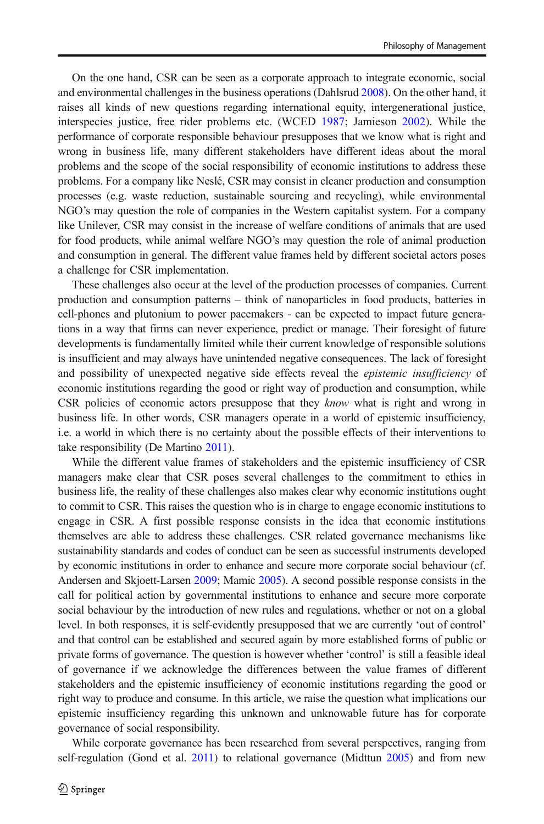On the one hand, CSR can be seen as a corporate approach to integrate economic, social and environmental challenges in the business operations (Dahlsrud [2008\)](#page-17-0). On the other hand, it raises all kinds of new questions regarding international equity, intergenerational justice, interspecies justice, free rider problems etc. (WCED [1987;](#page-18-0) Jamieson [2002\)](#page-17-0). While the performance of corporate responsible behaviour presupposes that we know what is right and wrong in business life, many different stakeholders have different ideas about the moral problems and the scope of the social responsibility of economic institutions to address these problems. For a company like Neslé, CSR may consist in cleaner production and consumption processes (e.g. waste reduction, sustainable sourcing and recycling), while environmental NGO's may question the role of companies in the Western capitalist system. For a company like Unilever, CSR may consist in the increase of welfare conditions of animals that are used for food products, while animal welfare NGO's may question the role of animal production and consumption in general. The different value frames held by different societal actors poses a challenge for CSR implementation.

These challenges also occur at the level of the production processes of companies. Current production and consumption patterns – think of nanoparticles in food products, batteries in cell-phones and plutonium to power pacemakers - can be expected to impact future generations in a way that firms can never experience, predict or manage. Their foresight of future developments is fundamentally limited while their current knowledge of responsible solutions is insufficient and may always have unintended negative consequences. The lack of foresight and possibility of unexpected negative side effects reveal the *epistemic insufficiency* of economic institutions regarding the good or right way of production and consumption, while CSR policies of economic actors presuppose that they know what is right and wrong in business life. In other words, CSR managers operate in a world of epistemic insufficiency, i.e. a world in which there is no certainty about the possible effects of their interventions to take responsibility (De Martino [2011](#page-17-0)).

While the different value frames of stakeholders and the epistemic insufficiency of CSR managers make clear that CSR poses several challenges to the commitment to ethics in business life, the reality of these challenges also makes clear why economic institutions ought to commit to CSR. This raises the question who is in charge to engage economic institutions to engage in CSR. A first possible response consists in the idea that economic institutions themselves are able to address these challenges. CSR related governance mechanisms like sustainability standards and codes of conduct can be seen as successful instruments developed by economic institutions in order to enhance and secure more corporate social behaviour (cf. Andersen and Skjoett-Larsen [2009](#page-16-0); Mamic [2005\)](#page-18-0). A second possible response consists in the call for political action by governmental institutions to enhance and secure more corporate social behaviour by the introduction of new rules and regulations, whether or not on a global level. In both responses, it is self-evidently presupposed that we are currently 'out of control' and that control can be established and secured again by more established forms of public or private forms of governance. The question is however whether 'control' is still a feasible ideal of governance if we acknowledge the differences between the value frames of different stakeholders and the epistemic insufficiency of economic institutions regarding the good or right way to produce and consume. In this article, we raise the question what implications our epistemic insufficiency regarding this unknown and unknowable future has for corporate governance of social responsibility.

While corporate governance has been researched from several perspectives, ranging from self-regulation (Gond et al. [2011](#page-17-0)) to relational governance (Midttun [2005\)](#page-18-0) and from new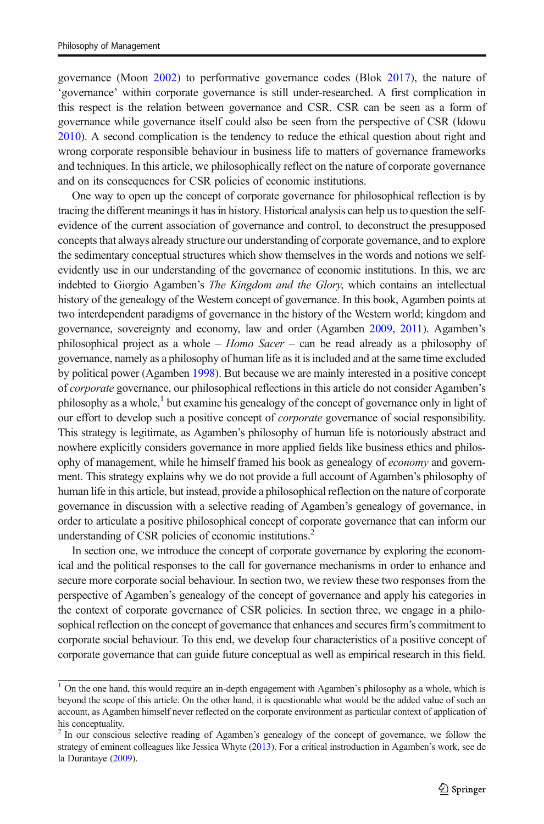governance (Moon [2002\)](#page-18-0) to performative governance codes (Blok [2017\)](#page-17-0), the nature of 'governance' within corporate governance is still under-researched. A first complication in this respect is the relation between governance and CSR. CSR can be seen as a form of governance while governance itself could also be seen from the perspective of CSR (Idowu [2010](#page-17-0)). A second complication is the tendency to reduce the ethical question about right and wrong corporate responsible behaviour in business life to matters of governance frameworks and techniques. In this article, we philosophically reflect on the nature of corporate governance and on its consequences for CSR policies of economic institutions.

One way to open up the concept of corporate governance for philosophical reflection is by tracing the different meanings it has in history. Historical analysis can help us to question the selfevidence of the current association of governance and control, to deconstruct the presupposed concepts that always already structure our understanding of corporate governance, and to explore the sedimentary conceptual structures which show themselves in the words and notions we selfevidently use in our understanding of the governance of economic institutions. In this, we are indebted to Giorgio Agamben's The Kingdom and the Glory, which contains an intellectual history of the genealogy of the Western concept of governance. In this book, Agamben points at two interdependent paradigms of governance in the history of the Western world; kingdom and governance, sovereignty and economy, law and order (Agamben [2009](#page-16-0), [2011\)](#page-16-0). Agamben's philosophical project as a whole –  $Homo$  Sacer – can be read already as a philosophy of governance, namely as a philosophy of human life as it is included and at the same time excluded by political power (Agamben [1998\)](#page-16-0). But because we are mainly interested in a positive concept of corporate governance, our philosophical reflections in this article do not consider Agamben's philosophy as a whole,<sup>1</sup> but examine his genealogy of the concept of governance only in light of our effort to develop such a positive concept of *corporate* governance of social responsibility. This strategy is legitimate, as Agamben's philosophy of human life is notoriously abstract and nowhere explicitly considers governance in more applied fields like business ethics and philosophy of management, while he himself framed his book as genealogy of economy and government. This strategy explains why we do not provide a full account of Agamben's philosophy of human life in this article, but instead, provide a philosophical reflection on the nature of corporate governance in discussion with a selective reading of Agamben's genealogy of governance, in order to articulate a positive philosophical concept of corporate governance that can inform our understanding of CSR policies of economic institutions.<sup>2</sup>

In section one, we introduce the concept of corporate governance by exploring the economical and the political responses to the call for governance mechanisms in order to enhance and secure more corporate social behaviour. In section two, we review these two responses from the perspective of Agamben's genealogy of the concept of governance and apply his categories in the context of corporate governance of CSR policies. In section three, we engage in a philosophical reflection on the concept of governance that enhances and secures firm's commitment to corporate social behaviour. To this end, we develop four characteristics of a positive concept of corporate governance that can guide future conceptual as well as empirical research in this field.

 $1$  On the one hand, this would require an in-depth engagement with Agamben's philosophy as a whole, which is beyond the scope of this article. On the other hand, it is questionable what would be the added value of such an account, as Agamben himself never reflected on the corporate environment as particular context of application of his conceptuality.

<sup>2</sup> In our conscious selective reading of Agamben's genealogy of the concept of governance, we follow the strategy of eminent colleagues like Jessica Whyte ([2013](#page-18-0)). For a critical instroduction in Agamben's work, see de la Durantaye [\(2009\)](#page-17-0).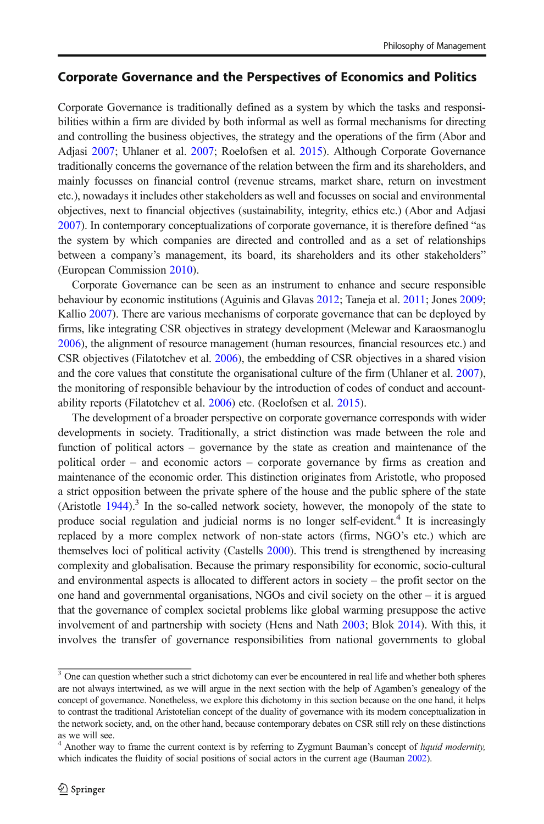#### Corporate Governance and the Perspectives of Economics and Politics

Corporate Governance is traditionally defined as a system by which the tasks and responsibilities within a firm are divided by both informal as well as formal mechanisms for directing and controlling the business objectives, the strategy and the operations of the firm (Abor and Adjasi [2007;](#page-16-0) Uhlaner et al. [2007;](#page-18-0) Roelofsen et al. [2015\)](#page-18-0). Although Corporate Governance traditionally concerns the governance of the relation between the firm and its shareholders, and mainly focusses on financial control (revenue streams, market share, return on investment etc.), nowadays it includes other stakeholders as well and focusses on social and environmental objectives, next to financial objectives (sustainability, integrity, ethics etc.) (Abor and Adjasi [2007](#page-16-0)). In contemporary conceptualizations of corporate governance, it is therefore defined "as the system by which companies are directed and controlled and as a set of relationships between a company's management, its board, its shareholders and its other stakeholders" (European Commission [2010\)](#page-17-0).

Corporate Governance can be seen as an instrument to enhance and secure responsible behaviour by economic institutions (Aguinis and Glavas [2012](#page-16-0); Taneja et al. [2011;](#page-18-0) Jones [2009](#page-17-0); Kallio [2007\)](#page-17-0). There are various mechanisms of corporate governance that can be deployed by firms, like integrating CSR objectives in strategy development (Melewar and Karaosmanoglu [2006](#page-18-0)), the alignment of resource management (human resources, financial resources etc.) and CSR objectives (Filatotchev et al. [2006](#page-17-0)), the embedding of CSR objectives in a shared vision and the core values that constitute the organisational culture of the firm (Uhlaner et al. [2007](#page-18-0)), the monitoring of responsible behaviour by the introduction of codes of conduct and accountability reports (Filatotchev et al. [2006](#page-17-0)) etc. (Roelofsen et al. [2015\)](#page-18-0).

The development of a broader perspective on corporate governance corresponds with wider developments in society. Traditionally, a strict distinction was made between the role and function of political actors – governance by the state as creation and maintenance of the political order – and economic actors – corporate governance by firms as creation and maintenance of the economic order. This distinction originates from Aristotle, who proposed a strict opposition between the private sphere of the house and the public sphere of the state (Aristotle  $1944$ ).<sup>3</sup> In the so-called network society, however, the monopoly of the state to produce social regulation and judicial norms is no longer self-evident.<sup>4</sup> It is increasingly replaced by a more complex network of non-state actors (firms, NGO's etc.) which are themselves loci of political activity (Castells [2000](#page-17-0)). This trend is strengthened by increasing complexity and globalisation. Because the primary responsibility for economic, socio-cultural and environmental aspects is allocated to different actors in society – the profit sector on the one hand and governmental organisations, NGOs and civil society on the other – it is argued that the governance of complex societal problems like global warming presuppose the active involvement of and partnership with society (Hens and Nath [2003](#page-17-0); Blok [2014\)](#page-16-0). With this, it involves the transfer of governance responsibilities from national governments to global

 $3$  One can question whether such a strict dichotomy can ever be encountered in real life and whether both spheres are not always intertwined, as we will argue in the next section with the help of Agamben's genealogy of the concept of governance. Nonetheless, we explore this dichotomy in this section because on the one hand, it helps to contrast the traditional Aristotelian concept of the duality of governance with its modern conceptualization in the network society, and, on the other hand, because contemporary debates on CSR still rely on these distinctions as we will see.

<sup>&</sup>lt;sup>4</sup> Another way to frame the current context is by referring to Zygmunt Bauman's concept of liquid modernity, which indicates the fluidity of social positions of social actors in the current age (Bauman [2002\)](#page-16-0).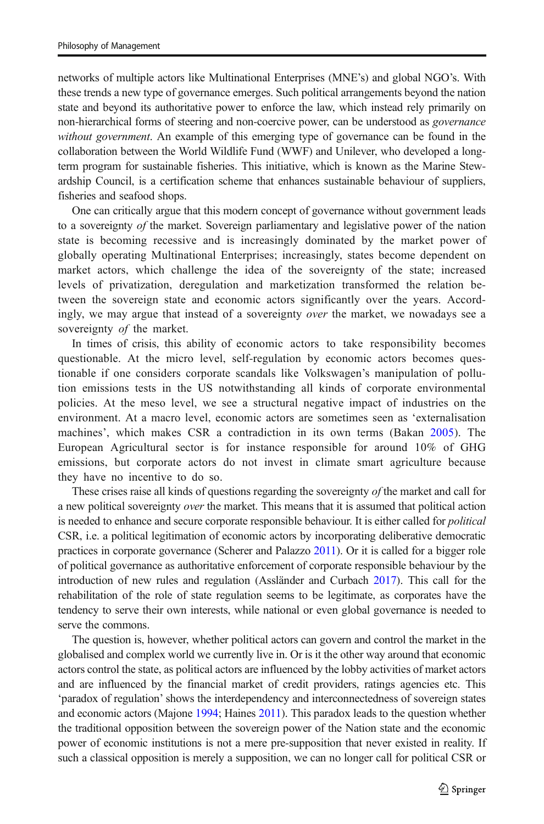networks of multiple actors like Multinational Enterprises (MNE's) and global NGO's. With these trends a new type of governance emerges. Such political arrangements beyond the nation state and beyond its authoritative power to enforce the law, which instead rely primarily on non-hierarchical forms of steering and non-coercive power, can be understood as governance without government. An example of this emerging type of governance can be found in the collaboration between the World Wildlife Fund (WWF) and Unilever, who developed a longterm program for sustainable fisheries. This initiative, which is known as the Marine Stewardship Council, is a certification scheme that enhances sustainable behaviour of suppliers, fisheries and seafood shops.

One can critically argue that this modern concept of governance without government leads to a sovereignty of the market. Sovereign parliamentary and legislative power of the nation state is becoming recessive and is increasingly dominated by the market power of globally operating Multinational Enterprises; increasingly, states become dependent on market actors, which challenge the idea of the sovereignty of the state; increased levels of privatization, deregulation and marketization transformed the relation between the sovereign state and economic actors significantly over the years. Accordingly, we may argue that instead of a sovereignty *over* the market, we nowadays see a sovereignty *of* the market.

In times of crisis, this ability of economic actors to take responsibility becomes questionable. At the micro level, self-regulation by economic actors becomes questionable if one considers corporate scandals like Volkswagen's manipulation of pollution emissions tests in the US notwithstanding all kinds of corporate environmental policies. At the meso level, we see a structural negative impact of industries on the environment. At a macro level, economic actors are sometimes seen as 'externalisation machines', which makes CSR a contradiction in its own terms (Bakan [2005](#page-16-0)). The European Agricultural sector is for instance responsible for around 10% of GHG emissions, but corporate actors do not invest in climate smart agriculture because they have no incentive to do so.

These crises raise all kinds of questions regarding the sovereignty of the market and call for a new political sovereignty over the market. This means that it is assumed that political action is needed to enhance and secure corporate responsible behaviour. It is either called for *political* CSR, i.e. a political legitimation of economic actors by incorporating deliberative democratic practices in corporate governance (Scherer and Palazzo [2011\)](#page-18-0). Or it is called for a bigger role of political governance as authoritative enforcement of corporate responsible behaviour by the introduction of new rules and regulation (Assländer and Curbach [2017](#page-16-0)). This call for the rehabilitation of the role of state regulation seems to be legitimate, as corporates have the tendency to serve their own interests, while national or even global governance is needed to serve the commons.

The question is, however, whether political actors can govern and control the market in the globalised and complex world we currently live in. Or is it the other way around that economic actors control the state, as political actors are influenced by the lobby activities of market actors and are influenced by the financial market of credit providers, ratings agencies etc. This 'paradox of regulation' shows the interdependency and interconnectedness of sovereign states and economic actors (Majone [1994](#page-17-0); Haines [2011](#page-17-0)). This paradox leads to the question whether the traditional opposition between the sovereign power of the Nation state and the economic power of economic institutions is not a mere pre-supposition that never existed in reality. If such a classical opposition is merely a supposition, we can no longer call for political CSR or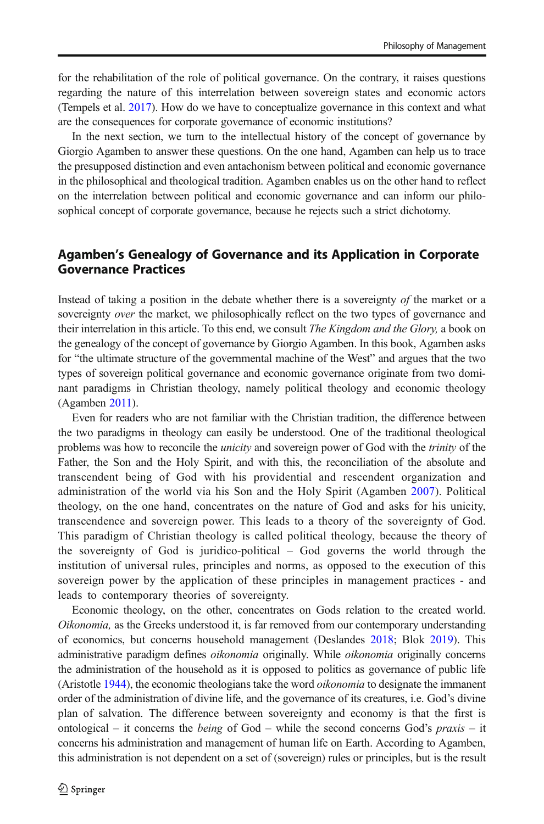for the rehabilitation of the role of political governance. On the contrary, it raises questions regarding the nature of this interrelation between sovereign states and economic actors (Tempels et al. [2017](#page-18-0)). How do we have to conceptualize governance in this context and what are the consequences for corporate governance of economic institutions?

In the next section, we turn to the intellectual history of the concept of governance by Giorgio Agamben to answer these questions. On the one hand, Agamben can help us to trace the presupposed distinction and even antachonism between political and economic governance in the philosophical and theological tradition. Agamben enables us on the other hand to reflect on the interrelation between political and economic governance and can inform our philosophical concept of corporate governance, because he rejects such a strict dichotomy.

#### Agamben's Genealogy of Governance and its Application in Corporate Governance Practices

Instead of taking a position in the debate whether there is a sovereignty of the market or a sovereignty *over* the market, we philosophically reflect on the two types of governance and their interrelation in this article. To this end, we consult *The Kingdom and the Glory*, a book on the genealogy of the concept of governance by Giorgio Agamben. In this book, Agamben asks for "the ultimate structure of the governmental machine of the West" and argues that the two types of sovereign political governance and economic governance originate from two dominant paradigms in Christian theology, namely political theology and economic theology (Agamben [2011\)](#page-16-0).

Even for readers who are not familiar with the Christian tradition, the difference between the two paradigms in theology can easily be understood. One of the traditional theological problems was how to reconcile the *unicity* and sovereign power of God with the *trinity* of the Father, the Son and the Holy Spirit, and with this, the reconciliation of the absolute and transcendent being of God with his providential and rescendent organization and administration of the world via his Son and the Holy Spirit (Agamben [2007](#page-16-0)). Political theology, on the one hand, concentrates on the nature of God and asks for his unicity, transcendence and sovereign power. This leads to a theory of the sovereignty of God. This paradigm of Christian theology is called political theology, because the theory of the sovereignty of God is juridico-political – God governs the world through the institution of universal rules, principles and norms, as opposed to the execution of this sovereign power by the application of these principles in management practices - and leads to contemporary theories of sovereignty.

Economic theology, on the other, concentrates on Gods relation to the created world. Oikonomia, as the Greeks understood it, is far removed from our contemporary understanding of economics, but concerns household management (Deslandes [2018](#page-17-0); Blok [2019](#page-17-0)). This administrative paradigm defines *oikonomia* originally. While *oikonomia* originally concerns the administration of the household as it is opposed to politics as governance of public life (Aristotle [1944](#page-16-0)), the economic theologians take the word *oikonomia* to designate the immanent order of the administration of divine life, and the governance of its creatures, i.e. God's divine plan of salvation. The difference between sovereignty and economy is that the first is ontological – it concerns the *being* of God – while the second concerns God's *praxis* – it concerns his administration and management of human life on Earth. According to Agamben, this administration is not dependent on a set of (sovereign) rules or principles, but is the result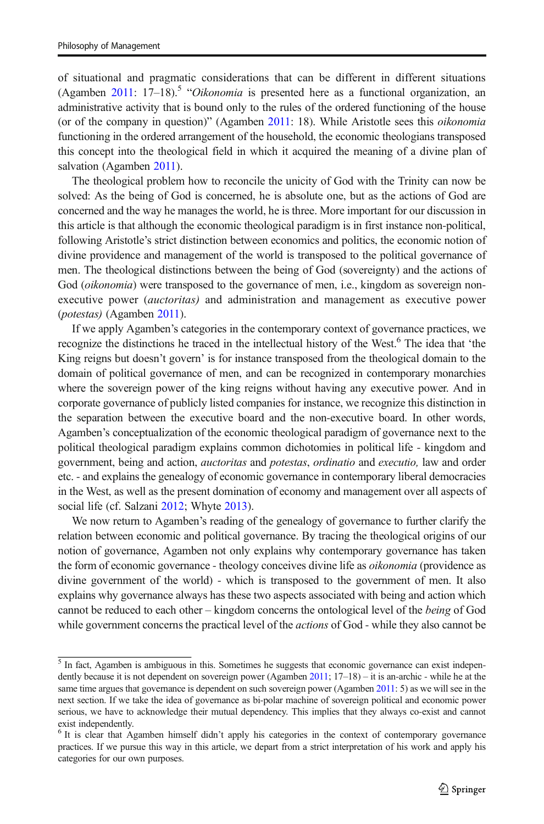of situational and pragmatic considerations that can be different in different situations (Agamben [2011](#page-16-0): 17-18).<sup>5</sup> "Oikonomia is presented here as a functional organization, an administrative activity that is bound only to the rules of the ordered functioning of the house (or of the company in question)" (Agamben [2011:](#page-16-0) 18). While Aristotle sees this *oikonomia* functioning in the ordered arrangement of the household, the economic theologians transposed this concept into the theological field in which it acquired the meaning of a divine plan of salvation (Agamben [2011](#page-16-0)).

The theological problem how to reconcile the unicity of God with the Trinity can now be solved: As the being of God is concerned, he is absolute one, but as the actions of God are concerned and the way he manages the world, he is three. More important for our discussion in this article is that although the economic theological paradigm is in first instance non-political, following Aristotle's strict distinction between economics and politics, the economic notion of divine providence and management of the world is transposed to the political governance of men. The theological distinctions between the being of God (sovereignty) and the actions of God *(oikonomia)* were transposed to the governance of men, i.e., kingdom as sovereign nonexecutive power *(auctoritas)* and administration and management as executive power (potestas) (Agamben [2011](#page-16-0)).

If we apply Agamben's categories in the contemporary context of governance practices, we recognize the distinctions he traced in the intellectual history of the West.<sup>6</sup> The idea that 'the King reigns but doesn't govern' is for instance transposed from the theological domain to the domain of political governance of men, and can be recognized in contemporary monarchies where the sovereign power of the king reigns without having any executive power. And in corporate governance of publicly listed companies for instance, we recognize this distinction in the separation between the executive board and the non-executive board. In other words, Agamben's conceptualization of the economic theological paradigm of governance next to the political theological paradigm explains common dichotomies in political life - kingdom and government, being and action, auctoritas and potestas, ordinatio and executio, law and order etc. - and explains the genealogy of economic governance in contemporary liberal democracies in the West, as well as the present domination of economy and management over all aspects of social life (cf. Salzani [2012;](#page-18-0) Whyte [2013\)](#page-18-0).

We now return to Agamben's reading of the genealogy of governance to further clarify the relation between economic and political governance. By tracing the theological origins of our notion of governance, Agamben not only explains why contemporary governance has taken the form of economic governance - theology conceives divine life as *oikonomia* (providence as divine government of the world) - which is transposed to the government of men. It also explains why governance always has these two aspects associated with being and action which cannot be reduced to each other – kingdom concerns the ontological level of the being of God while government concerns the practical level of the *actions* of God - while they also cannot be

<sup>&</sup>lt;sup>5</sup> In fact, Agamben is ambiguous in this. Sometimes he suggests that economic governance can exist independently because it is not dependent on sovereign power (Agamben [2011](#page-16-0); 17–18) – it is an-archic - while he at the same time argues that governance is dependent on such sovereign power (Agamben [2011](#page-16-0): 5) as we will see in the next section. If we take the idea of governance as bi-polar machine of sovereign political and economic power serious, we have to acknowledge their mutual dependency. This implies that they always co-exist and cannot exist independently.

<sup>&</sup>lt;sup>6</sup> It is clear that Agamben himself didn't apply his categories in the context of contemporary governance practices. If we pursue this way in this article, we depart from a strict interpretation of his work and apply his categories for our own purposes.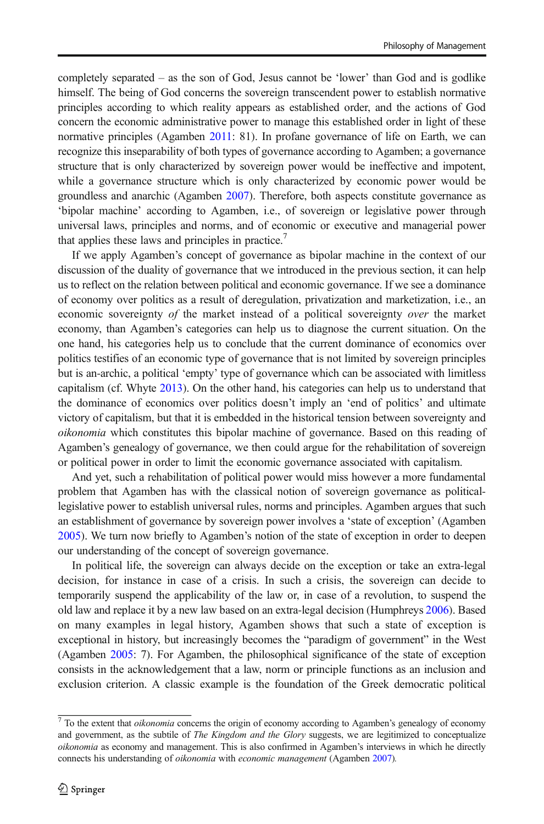completely separated – as the son of God, Jesus cannot be 'lower' than God and is godlike himself. The being of God concerns the sovereign transcendent power to establish normative principles according to which reality appears as established order, and the actions of God concern the economic administrative power to manage this established order in light of these normative principles (Agamben [2011:](#page-16-0) 81). In profane governance of life on Earth, we can recognize this inseparability of both types of governance according to Agamben; a governance structure that is only characterized by sovereign power would be ineffective and impotent, while a governance structure which is only characterized by economic power would be groundless and anarchic (Agamben [2007](#page-16-0)). Therefore, both aspects constitute governance as 'bipolar machine' according to Agamben, i.e., of sovereign or legislative power through universal laws, principles and norms, and of economic or executive and managerial power that applies these laws and principles in practice.<sup>7</sup>

If we apply Agamben's concept of governance as bipolar machine in the context of our discussion of the duality of governance that we introduced in the previous section, it can help us to reflect on the relation between political and economic governance. If we see a dominance of economy over politics as a result of deregulation, privatization and marketization, i.e., an economic sovereignty of the market instead of a political sovereignty over the market economy, than Agamben's categories can help us to diagnose the current situation. On the one hand, his categories help us to conclude that the current dominance of economics over politics testifies of an economic type of governance that is not limited by sovereign principles but is an-archic, a political 'empty' type of governance which can be associated with limitless capitalism (cf. Whyte [2013\)](#page-18-0). On the other hand, his categories can help us to understand that the dominance of economics over politics doesn't imply an 'end of politics' and ultimate victory of capitalism, but that it is embedded in the historical tension between sovereignty and oikonomia which constitutes this bipolar machine of governance. Based on this reading of Agamben's genealogy of governance, we then could argue for the rehabilitation of sovereign or political power in order to limit the economic governance associated with capitalism.

And yet, such a rehabilitation of political power would miss however a more fundamental problem that Agamben has with the classical notion of sovereign governance as politicallegislative power to establish universal rules, norms and principles. Agamben argues that such an establishment of governance by sovereign power involves a 'state of exception' (Agamben [2005](#page-16-0)). We turn now briefly to Agamben's notion of the state of exception in order to deepen our understanding of the concept of sovereign governance.

In political life, the sovereign can always decide on the exception or take an extra-legal decision, for instance in case of a crisis. In such a crisis, the sovereign can decide to temporarily suspend the applicability of the law or, in case of a revolution, to suspend the old law and replace it by a new law based on an extra-legal decision (Humphreys [2006\)](#page-17-0). Based on many examples in legal history, Agamben shows that such a state of exception is exceptional in history, but increasingly becomes the "paradigm of government" in the West (Agamben [2005:](#page-16-0) 7). For Agamben, the philosophical significance of the state of exception consists in the acknowledgement that a law, norm or principle functions as an inclusion and exclusion criterion. A classic example is the foundation of the Greek democratic political

 $7$  To the extent that *oikonomia* concerns the origin of economy according to Agamben's genealogy of economy and government, as the subtile of The Kingdom and the Glory suggests, we are legitimized to conceptualize oikonomia as economy and management. This is also confirmed in Agamben's interviews in which he directly connects his understanding of *oikonomia* with *economic management* (Agamben [2007\)](#page-16-0).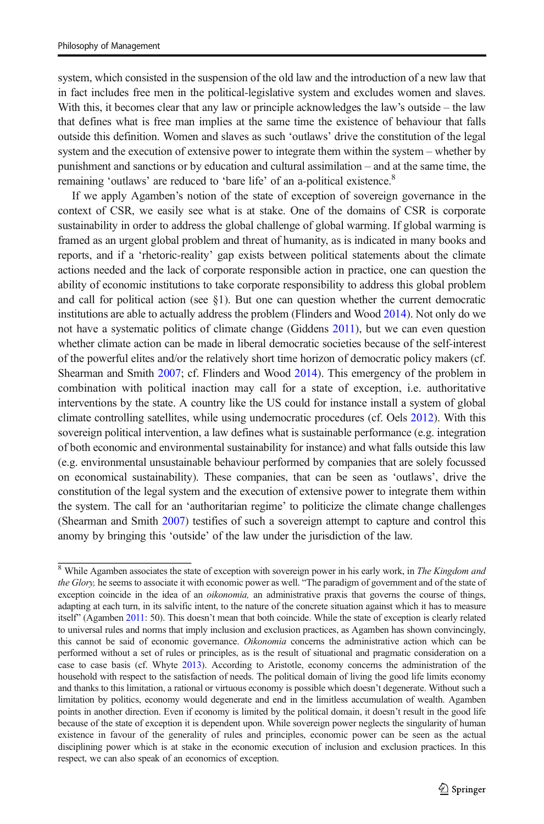system, which consisted in the suspension of the old law and the introduction of a new law that in fact includes free men in the political-legislative system and excludes women and slaves. With this, it becomes clear that any law or principle acknowledges the law's outside – the law that defines what is free man implies at the same time the existence of behaviour that falls outside this definition. Women and slaves as such 'outlaws' drive the constitution of the legal system and the execution of extensive power to integrate them within the system – whether by punishment and sanctions or by education and cultural assimilation – and at the same time, the remaining 'outlaws' are reduced to 'bare life' of an a-political existence.<sup>8</sup>

If we apply Agamben's notion of the state of exception of sovereign governance in the context of CSR, we easily see what is at stake. One of the domains of CSR is corporate sustainability in order to address the global challenge of global warming. If global warming is framed as an urgent global problem and threat of humanity, as is indicated in many books and reports, and if a 'rhetoric-reality' gap exists between political statements about the climate actions needed and the lack of corporate responsible action in practice, one can question the ability of economic institutions to take corporate responsibility to address this global problem and call for political action (see §1). But one can question whether the current democratic institutions are able to actually address the problem (Flinders and Wood [2014\)](#page-17-0). Not only do we not have a systematic politics of climate change (Giddens [2011](#page-17-0)), but we can even question whether climate action can be made in liberal democratic societies because of the self-interest of the powerful elites and/or the relatively short time horizon of democratic policy makers (cf. Shearman and Smith [2007](#page-18-0); cf. Flinders and Wood [2014\)](#page-17-0). This emergency of the problem in combination with political inaction may call for a state of exception, i.e. authoritative interventions by the state. A country like the US could for instance install a system of global climate controlling satellites, while using undemocratic procedures (cf. Oels [2012](#page-18-0)). With this sovereign political intervention, a law defines what is sustainable performance (e.g. integration of both economic and environmental sustainability for instance) and what falls outside this law (e.g. environmental unsustainable behaviour performed by companies that are solely focussed on economical sustainability). These companies, that can be seen as 'outlaws', drive the constitution of the legal system and the execution of extensive power to integrate them within the system. The call for an 'authoritarian regime' to politicize the climate change challenges (Shearman and Smith [2007](#page-18-0)) testifies of such a sovereign attempt to capture and control this anomy by bringing this 'outside' of the law under the jurisdiction of the law.

<sup>&</sup>lt;sup>8</sup> While Agamben associates the state of exception with sovereign power in his early work, in The Kingdom and the Glory, he seems to associate it with economic power as well. "The paradigm of government and of the state of exception coincide in the idea of an *oikonomia*, an administrative praxis that governs the course of things, adapting at each turn, in its salvific intent, to the nature of the concrete situation against which it has to measure itself" (Agamben [2011](#page-16-0): 50). This doesn't mean that both coincide. While the state of exception is clearly related to universal rules and norms that imply inclusion and exclusion practices, as Agamben has shown convincingly, this cannot be said of economic governance. Oikonomia concerns the administrative action which can be performed without a set of rules or principles, as is the result of situational and pragmatic consideration on a case to case basis (cf. Whyte [2013\)](#page-18-0). According to Aristotle, economy concerns the administration of the household with respect to the satisfaction of needs. The political domain of living the good life limits economy and thanks to this limitation, a rational or virtuous economy is possible which doesn't degenerate. Without such a limitation by politics, economy would degenerate and end in the limitless accumulation of wealth. Agamben points in another direction. Even if economy is limited by the political domain, it doesn't result in the good life because of the state of exception it is dependent upon. While sovereign power neglects the singularity of human existence in favour of the generality of rules and principles, economic power can be seen as the actual disciplining power which is at stake in the economic execution of inclusion and exclusion practices. In this respect, we can also speak of an economics of exception.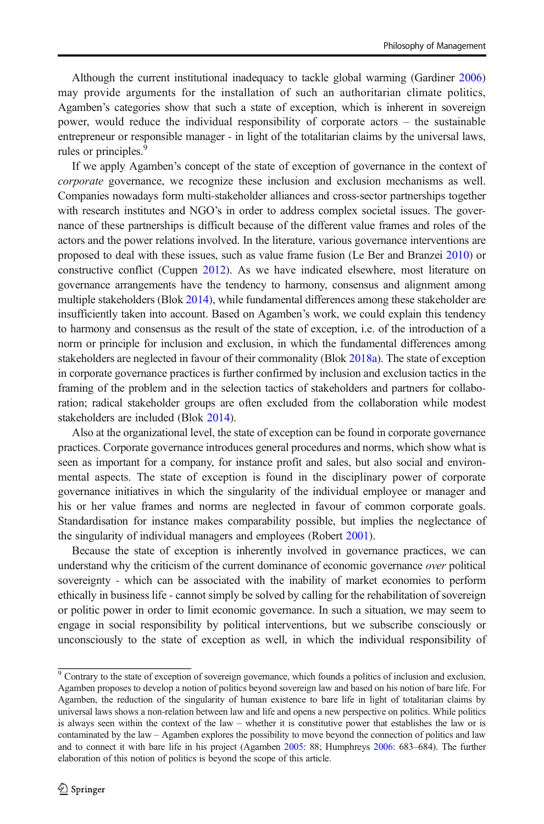Although the current institutional inadequacy to tackle global warming (Gardiner [2006\)](#page-17-0) may provide arguments for the installation of such an authoritarian climate politics, Agamben's categories show that such a state of exception, which is inherent in sovereign power, would reduce the individual responsibility of corporate actors – the sustainable entrepreneur or responsible manager - in light of the totalitarian claims by the universal laws, rules or principles.<sup>9</sup>

If we apply Agamben's concept of the state of exception of governance in the context of corporate governance, we recognize these inclusion and exclusion mechanisms as well. Companies nowadays form multi-stakeholder alliances and cross-sector partnerships together with research institutes and NGO's in order to address complex societal issues. The governance of these partnerships is difficult because of the different value frames and roles of the actors and the power relations involved. In the literature, various governance interventions are proposed to deal with these issues, such as value frame fusion (Le Ber and Branzei [2010](#page-17-0)) or constructive conflict (Cuppen [2012](#page-17-0)). As we have indicated elsewhere, most literature on governance arrangements have the tendency to harmony, consensus and alignment among multiple stakeholders (Blok [2014\)](#page-16-0), while fundamental differences among these stakeholder are insufficiently taken into account. Based on Agamben's work, we could explain this tendency to harmony and consensus as the result of the state of exception, i.e. of the introduction of a norm or principle for inclusion and exclusion, in which the fundamental differences among stakeholders are neglected in favour of their commonality (Blok [2018a\)](#page-17-0). The state of exception in corporate governance practices is further confirmed by inclusion and exclusion tactics in the framing of the problem and in the selection tactics of stakeholders and partners for collaboration; radical stakeholder groups are often excluded from the collaboration while modest stakeholders are included (Blok [2014\)](#page-16-0).

Also at the organizational level, the state of exception can be found in corporate governance practices. Corporate governance introduces general procedures and norms, which show what is seen as important for a company, for instance profit and sales, but also social and environmental aspects. The state of exception is found in the disciplinary power of corporate governance initiatives in which the singularity of the individual employee or manager and his or her value frames and norms are neglected in favour of common corporate goals. Standardisation for instance makes comparability possible, but implies the neglectance of the singularity of individual managers and employees (Robert [2001](#page-18-0)).

Because the state of exception is inherently involved in governance practices, we can understand why the criticism of the current dominance of economic governance over political sovereignty - which can be associated with the inability of market economies to perform ethically in business life - cannot simply be solved by calling for the rehabilitation of sovereign or politic power in order to limit economic governance. In such a situation, we may seem to engage in social responsibility by political interventions, but we subscribe consciously or unconsciously to the state of exception as well, in which the individual responsibility of

<sup>&</sup>lt;sup>9</sup> Contrary to the state of exception of sovereign governance, which founds a politics of inclusion and exclusion, Agamben proposes to develop a notion of politics beyond sovereign law and based on his notion of bare life. For Agamben, the reduction of the singularity of human existence to bare life in light of totalitarian claims by universal laws shows a non-relation between law and life and opens a new perspective on politics. While politics is always seen within the context of the law – whether it is constitutive power that establishes the law or is contaminated by the law – Agamben explores the possibility to move beyond the connection of politics and law and to connect it with bare life in his project (Agamben [2005](#page-16-0): 88; Humphreys [2006](#page-17-0): 683–684). The further elaboration of this notion of politics is beyond the scope of this article.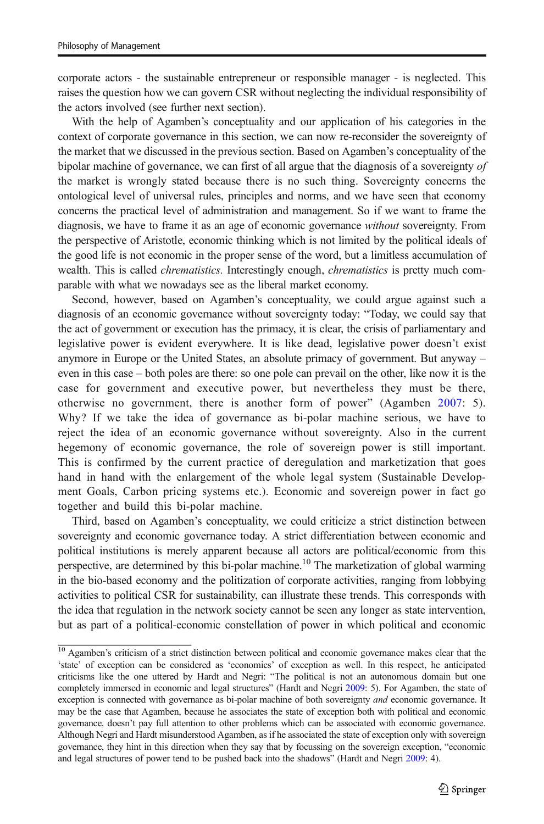corporate actors - the sustainable entrepreneur or responsible manager - is neglected. This raises the question how we can govern CSR without neglecting the individual responsibility of the actors involved (see further next section).

With the help of Agamben's conceptuality and our application of his categories in the context of corporate governance in this section, we can now re-reconsider the sovereignty of the market that we discussed in the previous section. Based on Agamben's conceptuality of the bipolar machine of governance, we can first of all argue that the diagnosis of a sovereignty of the market is wrongly stated because there is no such thing. Sovereignty concerns the ontological level of universal rules, principles and norms, and we have seen that economy concerns the practical level of administration and management. So if we want to frame the diagnosis, we have to frame it as an age of economic governance without sovereignty. From the perspective of Aristotle, economic thinking which is not limited by the political ideals of the good life is not economic in the proper sense of the word, but a limitless accumulation of wealth. This is called *chrematistics*. Interestingly enough, *chrematistics* is pretty much comparable with what we nowadays see as the liberal market economy.

Second, however, based on Agamben's conceptuality, we could argue against such a diagnosis of an economic governance without sovereignty today: "Today, we could say that the act of government or execution has the primacy, it is clear, the crisis of parliamentary and legislative power is evident everywhere. It is like dead, legislative power doesn't exist anymore in Europe or the United States, an absolute primacy of government. But anyway – even in this case – both poles are there: so one pole can prevail on the other, like now it is the case for government and executive power, but nevertheless they must be there, otherwise no government, there is another form of power" (Agamben [2007:](#page-16-0) 5). Why? If we take the idea of governance as bi-polar machine serious, we have to reject the idea of an economic governance without sovereignty. Also in the current hegemony of economic governance, the role of sovereign power is still important. This is confirmed by the current practice of deregulation and marketization that goes hand in hand with the enlargement of the whole legal system (Sustainable Development Goals, Carbon pricing systems etc.). Economic and sovereign power in fact go together and build this bi-polar machine.

Third, based on Agamben's conceptuality, we could criticize a strict distinction between sovereignty and economic governance today. A strict differentiation between economic and political institutions is merely apparent because all actors are political/economic from this perspective, are determined by this bi-polar machine.<sup>10</sup> The marketization of global warming in the bio-based economy and the politization of corporate activities, ranging from lobbying activities to political CSR for sustainability, can illustrate these trends. This corresponds with the idea that regulation in the network society cannot be seen any longer as state intervention, but as part of a political-economic constellation of power in which political and economic

<sup>&</sup>lt;sup>10</sup> Agamben's criticism of a strict distinction between political and economic governance makes clear that the 'state' of exception can be considered as 'economics' of exception as well. In this respect, he anticipated criticisms like the one uttered by Hardt and Negri: "The political is not an autonomous domain but one completely immersed in economic and legal structures" (Hardt and Negri [2009:](#page-17-0) 5). For Agamben, the state of exception is connected with governance as bi-polar machine of both sovereignty *and* economic governance. It may be the case that Agamben, because he associates the state of exception both with political and economic governance, doesn't pay full attention to other problems which can be associated with economic governance. Although Negri and Hardt misunderstood Agamben, as if he associated the state of exception only with sovereign governance, they hint in this direction when they say that by focussing on the sovereign exception, "economic and legal structures of power tend to be pushed back into the shadows" (Hardt and Negri [2009:](#page-17-0) 4).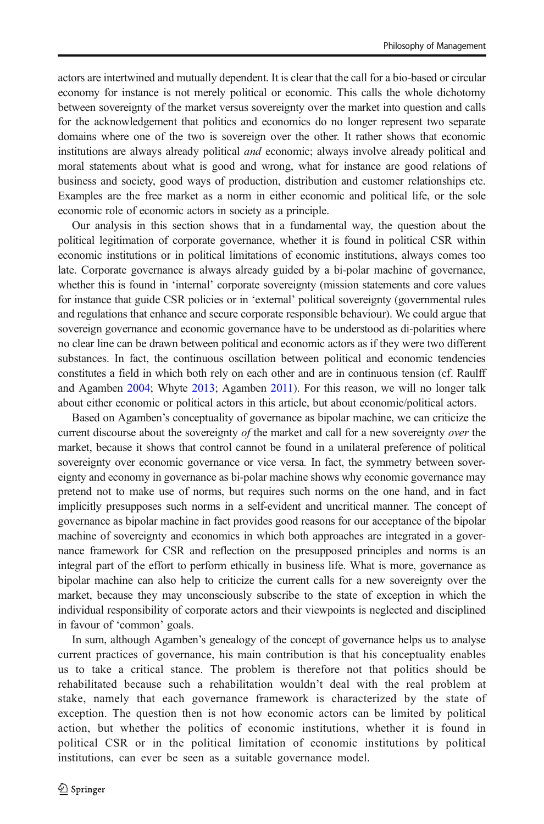actors are intertwined and mutually dependent. It is clear that the call for a bio-based or circular economy for instance is not merely political or economic. This calls the whole dichotomy between sovereignty of the market versus sovereignty over the market into question and calls for the acknowledgement that politics and economics do no longer represent two separate domains where one of the two is sovereign over the other. It rather shows that economic institutions are always already political and economic; always involve already political and moral statements about what is good and wrong, what for instance are good relations of business and society, good ways of production, distribution and customer relationships etc. Examples are the free market as a norm in either economic and political life, or the sole economic role of economic actors in society as a principle.

Our analysis in this section shows that in a fundamental way, the question about the political legitimation of corporate governance, whether it is found in political CSR within economic institutions or in political limitations of economic institutions, always comes too late. Corporate governance is always already guided by a bi-polar machine of governance, whether this is found in 'internal' corporate sovereignty (mission statements and core values for instance that guide CSR policies or in 'external' political sovereignty (governmental rules and regulations that enhance and secure corporate responsible behaviour). We could argue that sovereign governance and economic governance have to be understood as di-polarities where no clear line can be drawn between political and economic actors as if they were two different substances. In fact, the continuous oscillation between political and economic tendencies constitutes a field in which both rely on each other and are in continuous tension (cf. Raulff and Agamben [2004](#page-18-0); Whyte [2013;](#page-18-0) Agamben [2011](#page-16-0)). For this reason, we will no longer talk about either economic or political actors in this article, but about economic/political actors.

Based on Agamben's conceptuality of governance as bipolar machine, we can criticize the current discourse about the sovereignty of the market and call for a new sovereignty over the market, because it shows that control cannot be found in a unilateral preference of political sovereignty over economic governance or vice versa. In fact, the symmetry between sovereignty and economy in governance as bi-polar machine shows why economic governance may pretend not to make use of norms, but requires such norms on the one hand, and in fact implicitly presupposes such norms in a self-evident and uncritical manner. The concept of governance as bipolar machine in fact provides good reasons for our acceptance of the bipolar machine of sovereignty and economics in which both approaches are integrated in a governance framework for CSR and reflection on the presupposed principles and norms is an integral part of the effort to perform ethically in business life. What is more, governance as bipolar machine can also help to criticize the current calls for a new sovereignty over the market, because they may unconsciously subscribe to the state of exception in which the individual responsibility of corporate actors and their viewpoints is neglected and disciplined in favour of 'common' goals.

In sum, although Agamben's genealogy of the concept of governance helps us to analyse current practices of governance, his main contribution is that his conceptuality enables us to take a critical stance. The problem is therefore not that politics should be rehabilitated because such a rehabilitation wouldn't deal with the real problem at stake, namely that each governance framework is characterized by the state of exception. The question then is not how economic actors can be limited by political action, but whether the politics of economic institutions, whether it is found in political CSR or in the political limitation of economic institutions by political institutions, can ever be seen as a suitable governance model.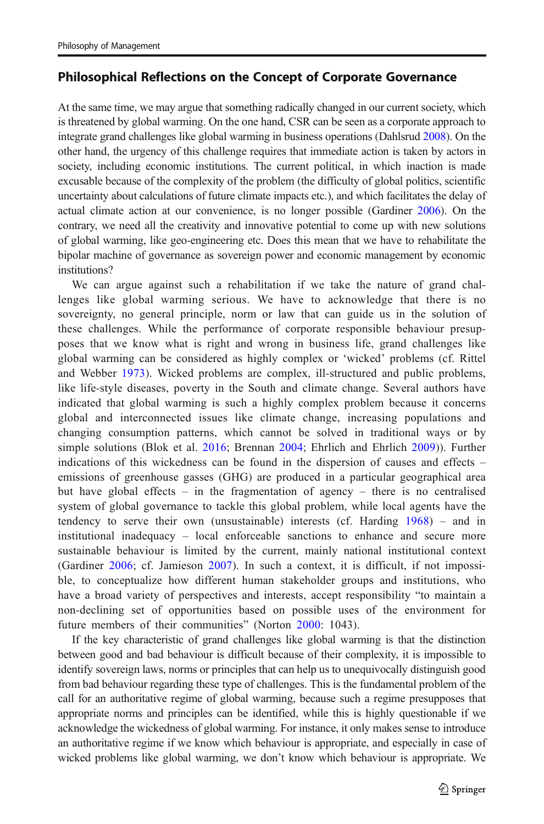#### Philosophical Reflections on the Concept of Corporate Governance

At the same time, we may argue that something radically changed in our current society, which is threatened by global warming. On the one hand, CSR can be seen as a corporate approach to integrate grand challenges like global warming in business operations (Dahlsrud [2008](#page-17-0)). On the other hand, the urgency of this challenge requires that immediate action is taken by actors in society, including economic institutions. The current political, in which inaction is made excusable because of the complexity of the problem (the difficulty of global politics, scientific uncertainty about calculations of future climate impacts etc.), and which facilitates the delay of actual climate action at our convenience, is no longer possible (Gardiner [2006](#page-17-0)). On the contrary, we need all the creativity and innovative potential to come up with new solutions of global warming, like geo-engineering etc. Does this mean that we have to rehabilitate the bipolar machine of governance as sovereign power and economic management by economic institutions?

We can argue against such a rehabilitation if we take the nature of grand challenges like global warming serious. We have to acknowledge that there is no sovereignty, no general principle, norm or law that can guide us in the solution of these challenges. While the performance of corporate responsible behaviour presupposes that we know what is right and wrong in business life, grand challenges like global warming can be considered as highly complex or 'wicked' problems (cf. Rittel and Webber [1973](#page-18-0)). Wicked problems are complex, ill-structured and public problems, like life-style diseases, poverty in the South and climate change. Several authors have indicated that global warming is such a highly complex problem because it concerns global and interconnected issues like climate change, increasing populations and changing consumption patterns, which cannot be solved in traditional ways or by simple solutions (Blok et al. [2016](#page-17-0); Brennan [2004;](#page-17-0) Ehrlich and Ehrlich [2009](#page-17-0))). Further indications of this wickedness can be found in the dispersion of causes and effects – emissions of greenhouse gasses (GHG) are produced in a particular geographical area but have global effects – in the fragmentation of agency – there is no centralised system of global governance to tackle this global problem, while local agents have the tendency to serve their own (unsustainable) interests (cf. Harding [1968\)](#page-17-0) – and in institutional inadequacy – local enforceable sanctions to enhance and secure more sustainable behaviour is limited by the current, mainly national institutional context (Gardiner [2006](#page-17-0); cf. Jamieson [2007\)](#page-17-0). In such a context, it is difficult, if not impossible, to conceptualize how different human stakeholder groups and institutions, who have a broad variety of perspectives and interests, accept responsibility "to maintain a non-declining set of opportunities based on possible uses of the environment for future members of their communities" (Norton [2000](#page-18-0): 1043).

If the key characteristic of grand challenges like global warming is that the distinction between good and bad behaviour is difficult because of their complexity, it is impossible to identify sovereign laws, norms or principles that can help us to unequivocally distinguish good from bad behaviour regarding these type of challenges. This is the fundamental problem of the call for an authoritative regime of global warming, because such a regime presupposes that appropriate norms and principles can be identified, while this is highly questionable if we acknowledge the wickedness of global warming. For instance, it only makes sense to introduce an authoritative regime if we know which behaviour is appropriate, and especially in case of wicked problems like global warming, we don't know which behaviour is appropriate. We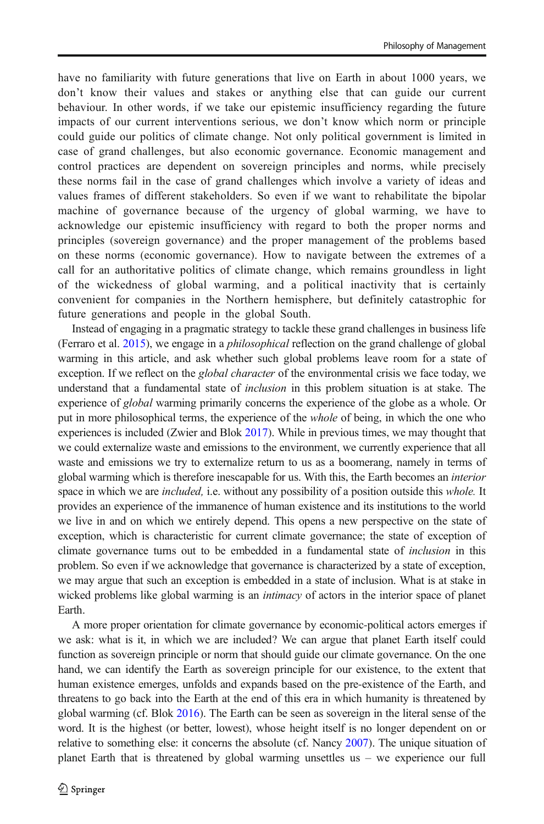have no familiarity with future generations that live on Earth in about 1000 years, we don't know their values and stakes or anything else that can guide our current behaviour. In other words, if we take our epistemic insufficiency regarding the future impacts of our current interventions serious, we don't know which norm or principle could guide our politics of climate change. Not only political government is limited in case of grand challenges, but also economic governance. Economic management and control practices are dependent on sovereign principles and norms, while precisely these norms fail in the case of grand challenges which involve a variety of ideas and values frames of different stakeholders. So even if we want to rehabilitate the bipolar machine of governance because of the urgency of global warming, we have to acknowledge our epistemic insufficiency with regard to both the proper norms and principles (sovereign governance) and the proper management of the problems based on these norms (economic governance). How to navigate between the extremes of a call for an authoritative politics of climate change, which remains groundless in light of the wickedness of global warming, and a political inactivity that is certainly convenient for companies in the Northern hemisphere, but definitely catastrophic for future generations and people in the global South.

Instead of engaging in a pragmatic strategy to tackle these grand challenges in business life (Ferraro et al. [2015\)](#page-17-0), we engage in a philosophical reflection on the grand challenge of global warming in this article, and ask whether such global problems leave room for a state of exception. If we reflect on the *global character* of the environmental crisis we face today, we understand that a fundamental state of inclusion in this problem situation is at stake. The experience of *global* warming primarily concerns the experience of the globe as a whole. Or put in more philosophical terms, the experience of the *whole* of being, in which the one who experiences is included (Zwier and Blok [2017\)](#page-18-0). While in previous times, we may thought that we could externalize waste and emissions to the environment, we currently experience that all waste and emissions we try to externalize return to us as a boomerang, namely in terms of global warming which is therefore inescapable for us. With this, the Earth becomes an interior space in which we are *included*, i.e. without any possibility of a position outside this whole. It provides an experience of the immanence of human existence and its institutions to the world we live in and on which we entirely depend. This opens a new perspective on the state of exception, which is characteristic for current climate governance; the state of exception of climate governance turns out to be embedded in a fundamental state of inclusion in this problem. So even if we acknowledge that governance is characterized by a state of exception, we may argue that such an exception is embedded in a state of inclusion. What is at stake in wicked problems like global warming is an *intimacy* of actors in the interior space of planet Earth.

A more proper orientation for climate governance by economic-political actors emerges if we ask: what is it, in which we are included? We can argue that planet Earth itself could function as sovereign principle or norm that should guide our climate governance. On the one hand, we can identify the Earth as sovereign principle for our existence, to the extent that human existence emerges, unfolds and expands based on the pre-existence of the Earth, and threatens to go back into the Earth at the end of this era in which humanity is threatened by global warming (cf. Blok [2016](#page-16-0)). The Earth can be seen as sovereign in the literal sense of the word. It is the highest (or better, lowest), whose height itself is no longer dependent on or relative to something else: it concerns the absolute (cf. Nancy [2007\)](#page-18-0). The unique situation of planet Earth that is threatened by global warming unsettles us – we experience our full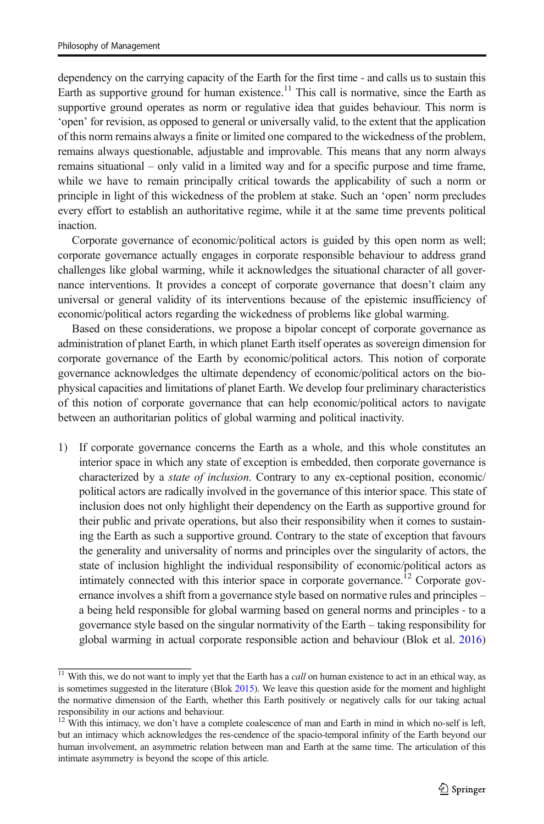dependency on the carrying capacity of the Earth for the first time - and calls us to sustain this Earth as supportive ground for human existence.<sup>11</sup> This call is normative, since the Earth as supportive ground operates as norm or regulative idea that guides behaviour. This norm is 'open' for revision, as opposed to general or universally valid, to the extent that the application of this norm remains always a finite or limited one compared to the wickedness of the problem, remains always questionable, adjustable and improvable. This means that any norm always remains situational – only valid in a limited way and for a specific purpose and time frame, while we have to remain principally critical towards the applicability of such a norm or principle in light of this wickedness of the problem at stake. Such an 'open' norm precludes every effort to establish an authoritative regime, while it at the same time prevents political inaction.

Corporate governance of economic/political actors is guided by this open norm as well; corporate governance actually engages in corporate responsible behaviour to address grand challenges like global warming, while it acknowledges the situational character of all governance interventions. It provides a concept of corporate governance that doesn't claim any universal or general validity of its interventions because of the epistemic insufficiency of economic/political actors regarding the wickedness of problems like global warming.

Based on these considerations, we propose a bipolar concept of corporate governance as administration of planet Earth, in which planet Earth itself operates as sovereign dimension for corporate governance of the Earth by economic/political actors. This notion of corporate governance acknowledges the ultimate dependency of economic/political actors on the biophysical capacities and limitations of planet Earth. We develop four preliminary characteristics of this notion of corporate governance that can help economic/political actors to navigate between an authoritarian politics of global warming and political inactivity.

1) If corporate governance concerns the Earth as a whole, and this whole constitutes an interior space in which any state of exception is embedded, then corporate governance is characterized by a state of inclusion. Contrary to any ex-ceptional position, economic/ political actors are radically involved in the governance of this interior space. This state of inclusion does not only highlight their dependency on the Earth as supportive ground for their public and private operations, but also their responsibility when it comes to sustaining the Earth as such a supportive ground. Contrary to the state of exception that favours the generality and universality of norms and principles over the singularity of actors, the state of inclusion highlight the individual responsibility of economic/political actors as intimately connected with this interior space in corporate governance.<sup>12</sup> Corporate governance involves a shift from a governance style based on normative rules and principles – a being held responsible for global warming based on general norms and principles - to a governance style based on the singular normativity of the Earth – taking responsibility for global warming in actual corporate responsible action and behaviour (Blok et al. [2016\)](#page-17-0)

 $11$  With this, we do not want to imply yet that the Earth has a *call* on human existence to act in an ethical way, as is sometimes suggested in the literature (Blok [2015](#page-16-0)). We leave this question aside for the moment and highlight the normative dimension of the Earth, whether this Earth positively or negatively calls for our taking actual responsibility in our actions and behaviour.

 $12$  With this intimacy, we don't have a complete coalescence of man and Earth in mind in which no-self is left, but an intimacy which acknowledges the res-cendence of the spacio-temporal infinity of the Earth beyond our human involvement, an asymmetric relation between man and Earth at the same time. The articulation of this intimate asymmetry is beyond the scope of this article.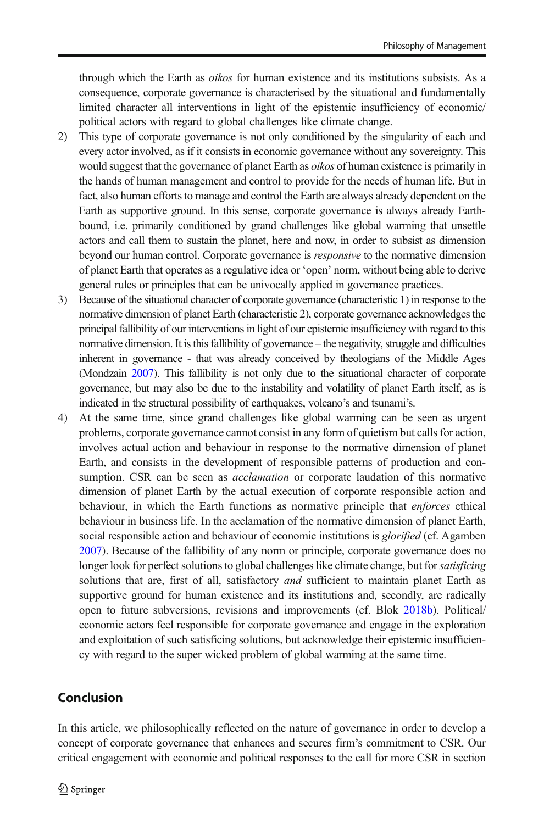through which the Earth as oikos for human existence and its institutions subsists. As a consequence, corporate governance is characterised by the situational and fundamentally limited character all interventions in light of the epistemic insufficiency of economic/ political actors with regard to global challenges like climate change.

- 2) This type of corporate governance is not only conditioned by the singularity of each and every actor involved, as if it consists in economic governance without any sovereignty. This would suggest that the governance of planet Earth as *oikos* of human existence is primarily in the hands of human management and control to provide for the needs of human life. But in fact, also human efforts to manage and control the Earth are always already dependent on the Earth as supportive ground. In this sense, corporate governance is always already Earthbound, i.e. primarily conditioned by grand challenges like global warming that unsettle actors and call them to sustain the planet, here and now, in order to subsist as dimension beyond our human control. Corporate governance is responsive to the normative dimension of planet Earth that operates as a regulative idea or 'open' norm, without being able to derive general rules or principles that can be univocally applied in governance practices.
- 3) Because of the situational character of corporate governance (characteristic 1) in response to the normative dimension of planet Earth (characteristic 2), corporate governance acknowledges the principal fallibility of our interventions in light of our epistemic insufficiency with regard to this normative dimension. It is this fallibility of governance – the negativity, struggle and difficulties inherent in governance - that was already conceived by theologians of the Middle Ages (Mondzain [2007](#page-18-0)). This fallibility is not only due to the situational character of corporate governance, but may also be due to the instability and volatility of planet Earth itself, as is indicated in the structural possibility of earthquakes, volcano's and tsunami's.
- 4) At the same time, since grand challenges like global warming can be seen as urgent problems, corporate governance cannot consist in any form of quietism but calls for action, involves actual action and behaviour in response to the normative dimension of planet Earth, and consists in the development of responsible patterns of production and consumption. CSR can be seen as *acclamation* or corporate laudation of this normative dimension of planet Earth by the actual execution of corporate responsible action and behaviour, in which the Earth functions as normative principle that enforces ethical behaviour in business life. In the acclamation of the normative dimension of planet Earth, social responsible action and behaviour of economic institutions is glorified (cf. Agamben [2007](#page-16-0)). Because of the fallibility of any norm or principle, corporate governance does no longer look for perfect solutions to global challenges like climate change, but for *satisficing* solutions that are, first of all, satisfactory *and* sufficient to maintain planet Earth as supportive ground for human existence and its institutions and, secondly, are radically open to future subversions, revisions and improvements (cf. Blok [2018b\)](#page-17-0). Political/ economic actors feel responsible for corporate governance and engage in the exploration and exploitation of such satisficing solutions, but acknowledge their epistemic insufficiency with regard to the super wicked problem of global warming at the same time.

## Conclusion

In this article, we philosophically reflected on the nature of governance in order to develop a concept of corporate governance that enhances and secures firm's commitment to CSR. Our critical engagement with economic and political responses to the call for more CSR in section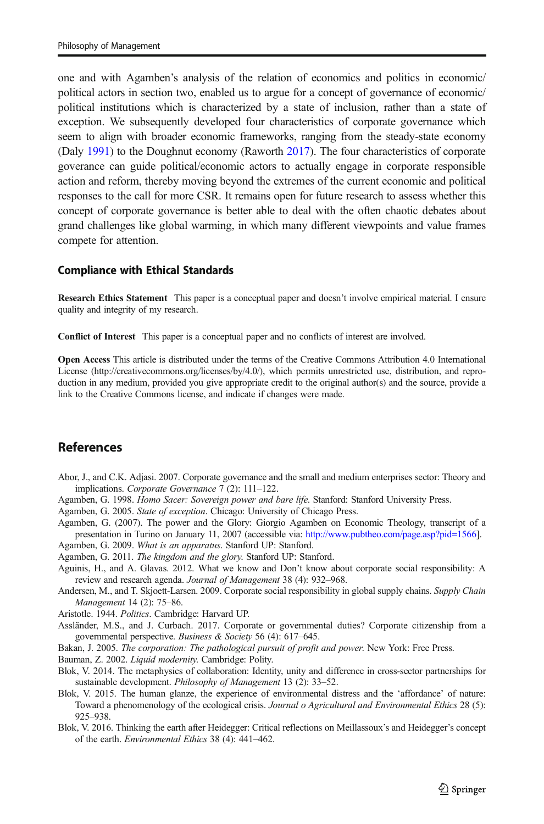<span id="page-16-0"></span>one and with Agamben's analysis of the relation of economics and politics in economic/ political actors in section two, enabled us to argue for a concept of governance of economic/ political institutions which is characterized by a state of inclusion, rather than a state of exception. We subsequently developed four characteristics of corporate governance which seem to align with broader economic frameworks, ranging from the steady-state economy (Daly [1991\)](#page-17-0) to the Doughnut economy (Raworth [2017](#page-18-0)). The four characteristics of corporate goverance can guide political/economic actors to actually engage in corporate responsible action and reform, thereby moving beyond the extremes of the current economic and political responses to the call for more CSR. It remains open for future research to assess whether this concept of corporate governance is better able to deal with the often chaotic debates about grand challenges like global warming, in which many different viewpoints and value frames compete for attention.

#### Compliance with Ethical Standards

Research Ethics Statement This paper is a conceptual paper and doesn't involve empirical material. I ensure quality and integrity of my research.

Conflict of Interest This paper is a conceptual paper and no conflicts of interest are involved.

Open Access This article is distributed under the terms of the Creative Commons Attribution 4.0 International License (http://creativecommons.org/licenses/by/4.0/), which permits unrestricted use, distribution, and reproduction in any medium, provided you give appropriate credit to the original author(s) and the source, provide a link to the Creative Commons license, and indicate if changes were made.

### References

- Abor, J., and C.K. Adjasi. 2007. Corporate governance and the small and medium enterprises sector: Theory and implications. Corporate Governance 7 (2): 111–122.
- Agamben, G. 1998. Homo Sacer: Sovereign power and bare life. Stanford: Stanford University Press.
- Agamben, G. 2005. State of exception. Chicago: University of Chicago Press.

Agamben, G. (2007). The power and the Glory: Giorgio Agamben on Economic Theology, transcript of a presentation in Turino on January 11, 2007 (accessible via: [http://www.pubtheo.com/page.asp?pid=1566\]](http://www.pubtheo.com/page.asp?pid=1566).

- Agamben, G. 2009. What is an apparatus. Stanford UP: Stanford.
- Agamben, G. 2011. The kingdom and the glory. Stanford UP: Stanford.
- Aguinis, H., and A. Glavas. 2012. What we know and Don't know about corporate social responsibility: A review and research agenda. Journal of Management 38 (4): 932–968.
- Andersen, M., and T. Skjoett-Larsen. 2009. Corporate social responsibility in global supply chains. Supply Chain Management 14 (2): 75–86.
- Aristotle. 1944. Politics. Cambridge: Harvard UP.
- Assländer, M.S., and J. Curbach. 2017. Corporate or governmental duties? Corporate citizenship from a governmental perspective. Business & Society 56 (4): 617–645.

Bakan, J. 2005. The corporation: The pathological pursuit of profit and power. New York: Free Press.

- Bauman, Z. 2002. Liquid modernity. Cambridge: Polity.
- Blok, V. 2014. The metaphysics of collaboration: Identity, unity and difference in cross-sector partnerships for sustainable development. Philosophy of Management 13 (2): 33–52.
- Blok, V. 2015. The human glanze, the experience of environmental distress and the 'affordance' of nature: Toward a phenomenology of the ecological crisis. Journal o Agricultural and Environmental Ethics 28 (5): 925–938.
- Blok, V. 2016. Thinking the earth after Heidegger: Critical reflections on Meillassoux's and Heidegger's concept of the earth. Environmental Ethics 38 (4): 441–462.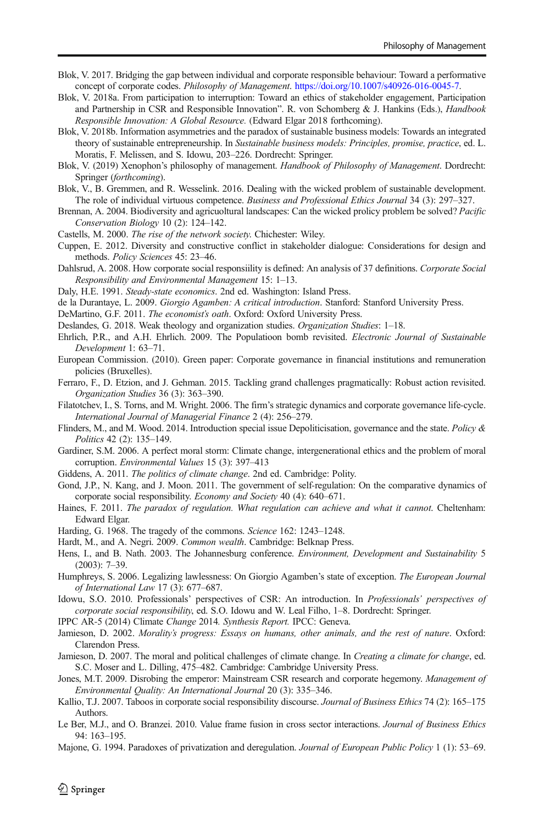- <span id="page-17-0"></span>Blok, V. 2017. Bridging the gap between individual and corporate responsible behaviour: Toward a performative concept of corporate codes. Philosophy of Management. <https://doi.org/10.1007/s40926-016-0045-7>.
- Blok, V. 2018a. From participation to interruption: Toward an ethics of stakeholder engagement, Participation and Partnership in CSR and Responsible Innovation". R. von Schomberg & J. Hankins (Eds.), *Handbook* Responsible Innovation: A Global Resource. (Edward Elgar 2018 forthcoming).
- Blok, V. 2018b. Information asymmetries and the paradox of sustainable business models: Towards an integrated theory of sustainable entrepreneurship. In Sustainable business models: Principles, promise, practice, ed. L. Moratis, F. Melissen, and S. Idowu, 203–226. Dordrecht: Springer.
- Blok, V. (2019) Xenophon's philosophy of management. Handbook of Philosophy of Management. Dordrecht: Springer (forthcoming).
- Blok, V., B. Gremmen, and R. Wesselink. 2016. Dealing with the wicked problem of sustainable development. The role of individual virtuous competence. Business and Professional Ethics Journal 34 (3): 297–327.
- Brennan, A. 2004. Biodiversity and agricuoltural landscapes: Can the wicked prolicy problem be solved? Pacific Conservation Biology 10 (2): 124–142.
- Castells, M. 2000. The rise of the network society. Chichester: Wiley.
- Cuppen, E. 2012. Diversity and constructive conflict in stakeholder dialogue: Considerations for design and methods. Policy Sciences 45: 23–46.
- Dahlsrud, A. 2008. How corporate social responsiility is defined: An analysis of 37 definitions. Corporate Social Responsibility and Environmental Management 15: 1–13.
- Daly, H.E. 1991. Steady-state economics. 2nd ed. Washington: Island Press.
- de la Durantaye, L. 2009. Giorgio Agamben: A critical introduction. Stanford: Stanford University Press.

DeMartino, G.F. 2011. The economist's oath. Oxford: Oxford University Press.

- Deslandes, G. 2018. Weak theology and organization studies. Organization Studies: 1–18.
- Ehrlich, P.R., and A.H. Ehrlich. 2009. The Populatioon bomb revisited. Electronic Journal of Sustainable Development 1: 63–71.
- European Commission. (2010). Green paper: Corporate governance in financial institutions and remuneration policies (Bruxelles).
- Ferraro, F., D. Etzion, and J. Gehman. 2015. Tackling grand challenges pragmatically: Robust action revisited. Organization Studies 36 (3): 363–390.
- Filatotchev, I., S. Torns, and M. Wright. 2006. The firm's strategic dynamics and corporate governance life-cycle. International Journal of Managerial Finance 2 (4): 256–279.
- Flinders, M., and M. Wood. 2014. Introduction special issue Depoliticisation, governance and the state. Policy & Politics 42 (2): 135–149.
- Gardiner, S.M. 2006. A perfect moral storm: Climate change, intergenerational ethics and the problem of moral corruption. Environmental Values 15 (3): 397–413
- Giddens, A. 2011. The politics of climate change. 2nd ed. Cambridge: Polity.
- Gond, J.P., N. Kang, and J. Moon. 2011. The government of self-regulation: On the comparative dynamics of corporate social responsibility. Economy and Society 40 (4): 640–671.
- Haines, F. 2011. The paradox of regulation. What regulation can achieve and what it cannot. Cheltenham: Edward Elgar.
- Harding, G. 1968. The tragedy of the commons. Science 162: 1243-1248.
- Hardt, M., and A. Negri. 2009. Common wealth. Cambridge: Belknap Press.
- Hens, I., and B. Nath. 2003. The Johannesburg conference. *Environment, Development and Sustainability* 5 (2003): 7–39.
- Humphreys, S. 2006. Legalizing lawlessness: On Giorgio Agamben's state of exception. The European Journal of International Law 17 (3): 677–687.
- Idowu, S.O. 2010. Professionals' perspectives of CSR: An introduction. In Professionals' perspectives of corporate social responsibility, ed. S.O. Idowu and W. Leal Filho, 1–8. Dordrecht: Springer.
- IPPC AR-5 (2014) Climate Change 2014. Synthesis Report. IPCC: Geneva.
- Jamieson, D. 2002. Morality's progress: Essays on humans, other animals, and the rest of nature. Oxford: Clarendon Press.
- Jamieson, D. 2007. The moral and political challenges of climate change. In Creating a climate for change, ed. S.C. Moser and L. Dilling, 475–482. Cambridge: Cambridge University Press.
- Jones, M.T. 2009. Disrobing the emperor: Mainstream CSR research and corporate hegemony. Management of Environmental Quality: An International Journal 20 (3): 335–346.
- Kallio, T.J. 2007. Taboos in corporate social responsibility discourse. Journal of Business Ethics 74 (2): 165-175 Authors.
- Le Ber, M.J., and O. Branzei. 2010. Value frame fusion in cross sector interactions. Journal of Business Ethics 94: 163–195.
- Majone, G. 1994. Paradoxes of privatization and deregulation. Journal of European Public Policy 1 (1): 53–69.